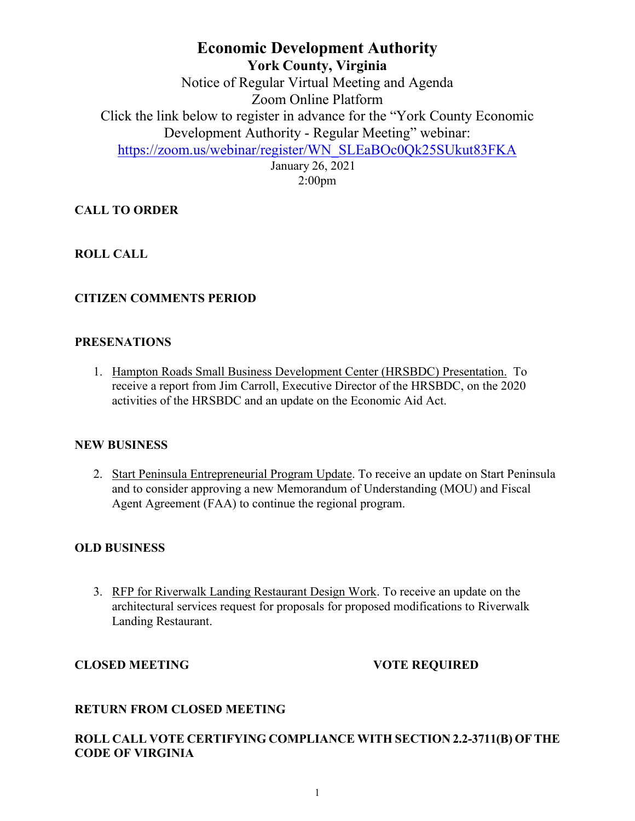# **Economic Development Authority York County, Virginia** Notice of Regular Virtual Meeting and Agenda Zoom Online Platform Click the link below to register in advance for the "York County Economic Development Authority - Regular Meeting" webinar: [https://zoom.us/webinar/register/WN\\_SLEaBOc0Qk25SUkut83FKA](https://zoom.us/webinar/register/WN_SLEaBOc0Qk25SUkut83FKA) January 26, 2021

2:00pm

# **CALL TO ORDER**

# **ROLL CALL**

# **CITIZEN COMMENTS PERIOD**

### **PRESENATIONS**

1. Hampton Roads Small Business Development Center (HRSBDC) Presentation. To receive a report from Jim Carroll, Executive Director of the HRSBDC, on the 2020 activities of the HRSBDC and an update on the Economic Aid Act.

### **NEW BUSINESS**

2. Start Peninsula Entrepreneurial Program Update. To receive an update on Start Peninsula and to consider approving a new Memorandum of Understanding (MOU) and Fiscal Agent Agreement (FAA) to continue the regional program.

### **OLD BUSINESS**

3. RFP for Riverwalk Landing Restaurant Design Work. To receive an update on the architectural services request for proposals for proposed modifications to Riverwalk Landing Restaurant.

### **CLOSED MEETING VOTE REQUIRED**

### **RETURN FROM CLOSED MEETING**

# **ROLL CALL VOTE CERTIFYING COMPLIANCE WITH SECTION 2.2-3711(B) OF THE CODE OF VIRGINIA**